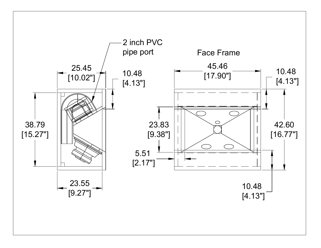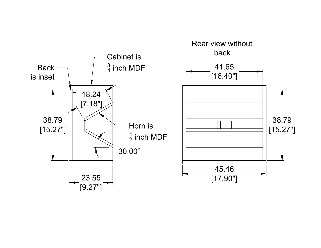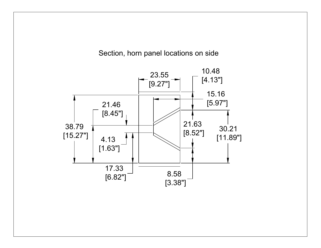## Section, horn panel locations on side

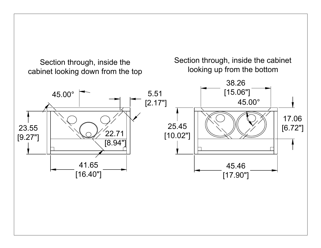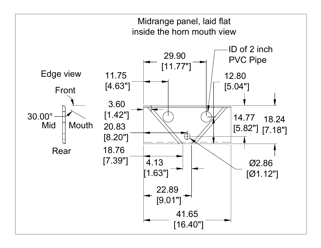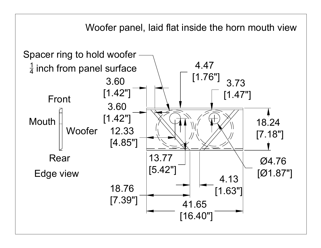Woofer panel, laid flat inside the horn mouth view

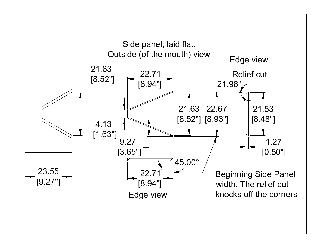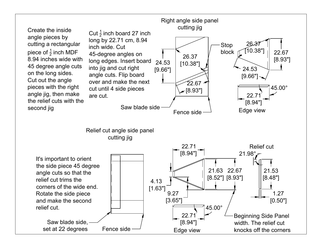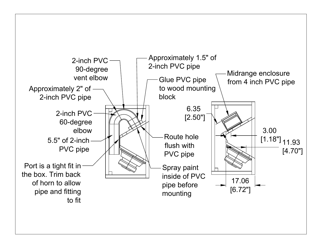